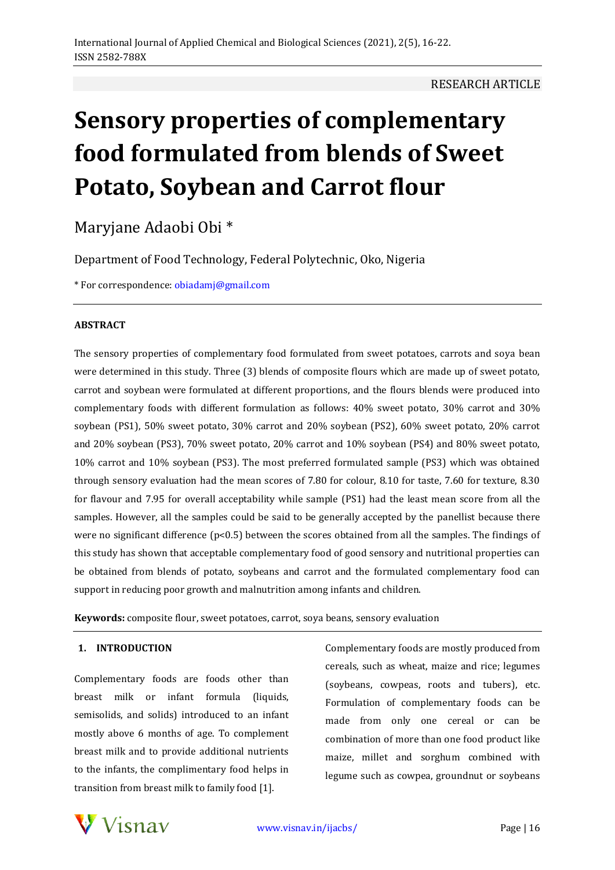# **Sensory properties of complementary food formulated from blends of Sweet Potato, Soybean and Carrot flour**

Maryjane Adaobi Obi \*

Department of Food Technology, Federal Polytechnic, Oko, Nigeria

\* For correspondence: obiadamj@gmail.com

# **ABSTRACT**

The sensory properties of complementary food formulated from sweet potatoes, carrots and soya bean were determined in this study. Three (3) blends of composite flours which are made up of sweet potato, carrot and soybean were formulated at different proportions, and the flours blends were produced into complementary foods with different formulation as follows: 40% sweet potato, 30% carrot and 30% soybean (PS1), 50% sweet potato, 30% carrot and 20% soybean (PS2), 60% sweet potato, 20% carrot and 20% soybean (PS3), 70% sweet potato, 20% carrot and 10% soybean (PS4) and 80% sweet potato, 10% carrot and 10% soybean (PS3). The most preferred formulated sample (PS3) which was obtained through sensory evaluation had the mean scores of 7.80 for colour, 8.10 for taste, 7.60 for texture, 8.30 for flavour and 7.95 for overall acceptability while sample (PS1) had the least mean score from all the samples. However, all the samples could be said to be generally accepted by the panellist because there were no significant difference ( $p<0.5$ ) between the scores obtained from all the samples. The findings of this study has shown that acceptable complementary food of good sensory and nutritional properties can be obtained from blends of potato, soybeans and carrot and the formulated complementary food can support in reducing poor growth and malnutrition among infants and children.

**Keywords:** composite flour, sweet potatoes, carrot, soya beans, sensory evaluation

# **1. INTRODUCTION**

Complementary foods are foods other than breast milk or infant formula (liquids, semisolids, and solids) introduced to an infant mostly above 6 months of age. To complement breast milk and to provide additional nutrients to the infants, the complimentary food helps in transition from breast milk to family food [1].

Complementary foods are mostly produced from cereals, such as wheat, maize and rice; legumes (soybeans, cowpeas, roots and tubers), etc. Formulation of complementary foods can be made from only one cereal or can be combination of more than one food product like maize, millet and sorghum combined with legume such as cowpea, groundnut or soybeans

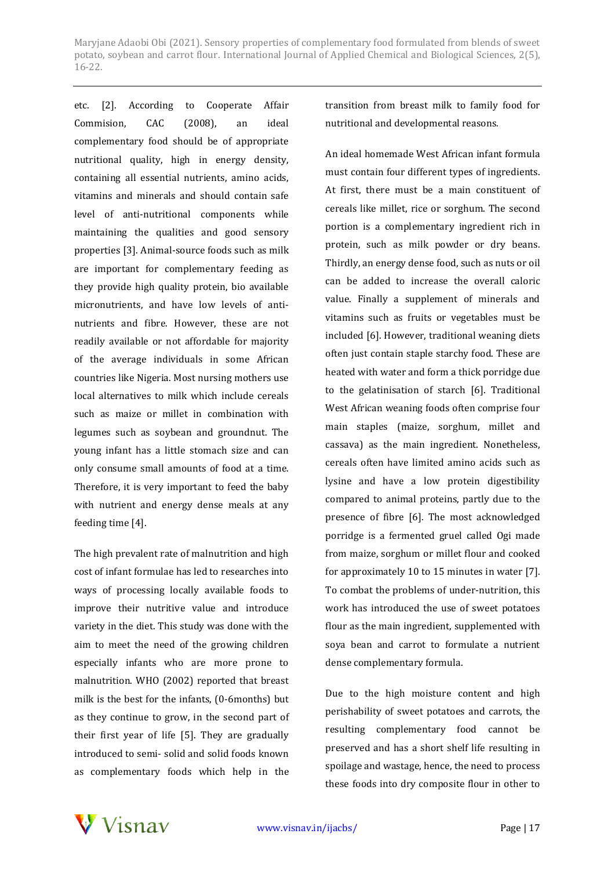etc. [2]. According to Cooperate Affair Commision, CAC (2008), an ideal complementary food should be of appropriate nutritional quality, high in energy density, containing all essential nutrients, amino acids, vitamins and minerals and should contain safe level of anti-nutritional components while maintaining the qualities and good sensory properties [3]. Animal-source foods such as milk are important for complementary feeding as they provide high quality protein, bio available micronutrients, and have low levels of antinutrients and fibre. However, these are not readily available or not affordable for majority of the average individuals in some African countries like Nigeria. Most nursing mothers use local alternatives to milk which include cereals such as maize or millet in combination with legumes such as soybean and groundnut. The young infant has a little stomach size and can only consume small amounts of food at a time. Therefore, it is very important to feed the baby with nutrient and energy dense meals at any feeding time [4].

The high prevalent rate of malnutrition and high cost of infant formulae has led to researches into ways of processing locally available foods to improve their nutritive value and introduce variety in the diet. This study was done with the aim to meet the need of the growing children especially infants who are more prone to malnutrition. WHO (2002) reported that breast milk is the best for the infants, (0-6months) but as they continue to grow, in the second part of their first year of life [5]. They are gradually introduced to semi- solid and solid foods known as complementary foods which help in the transition from breast milk to family food for nutritional and developmental reasons.

An ideal homemade West African infant formula must contain four different types of ingredients. At first, there must be a main constituent of cereals like millet, rice or sorghum. The second portion is a complementary ingredient rich in protein, such as milk powder or dry beans. Thirdly, an energy dense food, such as nuts or oil can be added to increase the overall caloric value. Finally a supplement of minerals and vitamins such as fruits or vegetables must be included [6]. However, traditional weaning diets often just contain staple starchy food. These are heated with water and form a thick porridge due to the gelatinisation of starch [6]. Traditional West African weaning foods often comprise four main staples (maize, sorghum, millet and cassava) as the main ingredient. Nonetheless, cereals often have limited amino acids such as lysine and have a low protein digestibility compared to animal proteins, partly due to the presence of fibre [6]. The most acknowledged porridge is a fermented gruel called Ogi made from maize, sorghum or millet flour and cooked for approximately 10 to 15 minutes in water [7]. To combat the problems of under-nutrition, this work has introduced the use of sweet potatoes flour as the main ingredient, supplemented with soya bean and carrot to formulate a nutrient dense complementary formula.

Due to the high moisture content and high perishability of sweet potatoes and carrots, the resulting complementary food cannot be preserved and has a short shelf life resulting in spoilage and wastage, hence, the need to process these foods into dry composite flour in other to

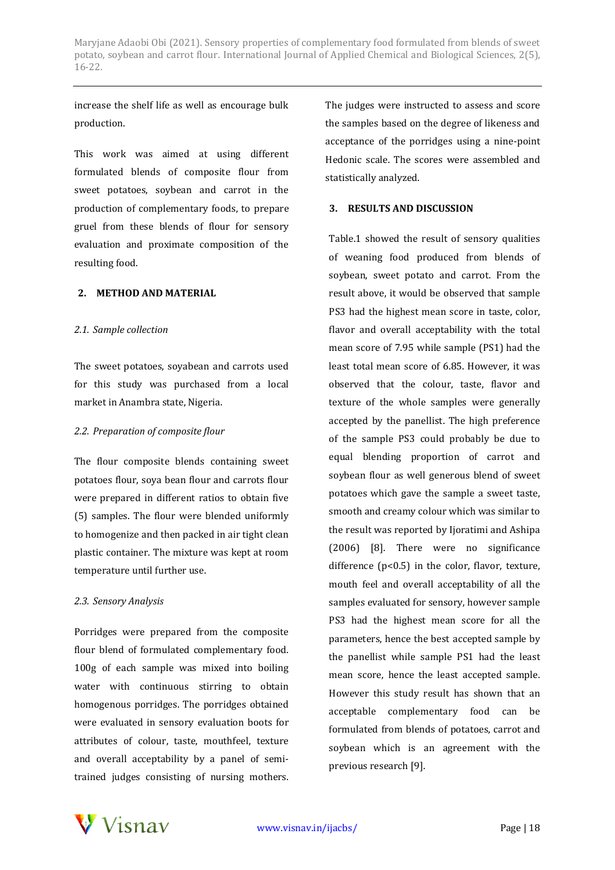increase the shelf life as well as encourage bulk production.

This work was aimed at using different formulated blends of composite flour from sweet potatoes, soybean and carrot in the production of complementary foods, to prepare gruel from these blends of flour for sensory evaluation and proximate composition of the resulting food.

### **2. METHOD AND MATERIAL**

### *2.1. Sample collection*

The sweet potatoes, soyabean and carrots used for this study was purchased from a local market in Anambra state, Nigeria.

### *2.2. Preparation of composite flour*

The flour composite blends containing sweet potatoes flour, soya bean flour and carrots flour were prepared in different ratios to obtain five (5) samples. The flour were blended uniformly to homogenize and then packed in air tight clean plastic container. The mixture was kept at room temperature until further use.

# *2.3. Sensory Analysis*

Porridges were prepared from the composite flour blend of formulated complementary food. 100g of each sample was mixed into boiling water with continuous stirring to obtain homogenous porridges. The porridges obtained were evaluated in sensory evaluation boots for attributes of colour, taste, mouthfeel, texture and overall acceptability by a panel of semitrained judges consisting of nursing mothers.

The judges were instructed to assess and score the samples based on the degree of likeness and acceptance of the porridges using a nine-point Hedonic scale. The scores were assembled and statistically analyzed.

## **3. RESULTS AND DISCUSSION**

Table.1 showed the result of sensory qualities of weaning food produced from blends of soybean, sweet potato and carrot. From the result above, it would be observed that sample PS3 had the highest mean score in taste, color, flavor and overall acceptability with the total mean score of 7.95 while sample (PS1) had the least total mean score of 6.85. However, it was observed that the colour, taste, flavor and texture of the whole samples were generally accepted by the panellist. The high preference of the sample PS3 could probably be due to equal blending proportion of carrot and soybean flour as well generous blend of sweet potatoes which gave the sample a sweet taste, smooth and creamy colour which was similar to the result was reported by Ijoratimi and Ashipa (2006) [8]. There were no significance difference  $(p<0.5)$  in the color, flavor, texture, mouth feel and overall acceptability of all the samples evaluated for sensory, however sample PS3 had the highest mean score for all the parameters, hence the best accepted sample by the panellist while sample PS1 had the least mean score, hence the least accepted sample. However this study result has shown that an acceptable complementary food can be formulated from blends of potatoes, carrot and soybean which is an agreement with the previous research [9].

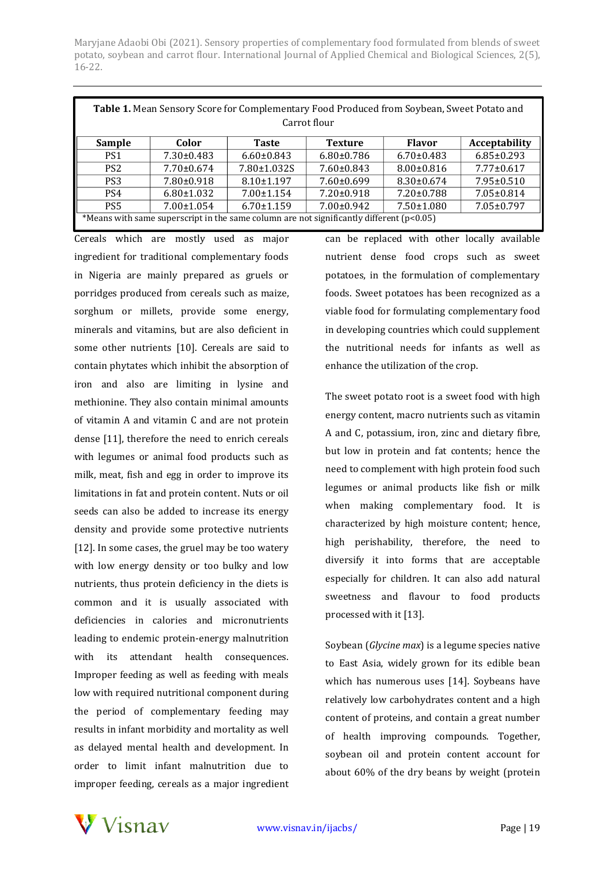| Table 1. Mean Sensory Score for Complementary Food Produced from Soybean, Sweet Potato and<br>Carrot flour |                  |                  |                  |                  |                      |
|------------------------------------------------------------------------------------------------------------|------------------|------------------|------------------|------------------|----------------------|
| Sample                                                                                                     | Color            | <b>Taste</b>     | <b>Texture</b>   | <b>Flavor</b>    | <b>Acceptability</b> |
| PS <sub>1</sub>                                                                                            | $7.30 \pm 0.483$ | $6.60 \pm 0.843$ | $6.80 \pm 0.786$ | $6.70 \pm 0.483$ | $6.85 \pm 0.293$     |
| PS <sub>2</sub>                                                                                            | $7.70 \pm 0.674$ | 7.80±1.032S      | $7.60 \pm 0.843$ | $8.00 \pm 0.816$ | $7.77 \pm 0.617$     |
| PS <sub>3</sub>                                                                                            | 7.80±0.918       | $8.10 \pm 1.197$ | $7.60 \pm 0.699$ | $8.30 \pm 0.674$ | $7.95 \pm 0.510$     |
| PS <sub>4</sub>                                                                                            | $6.80 \pm 1.032$ | $7.00 \pm 1.154$ | $7.20 \pm 0.918$ | $7.20 \pm 0.788$ | $7.05 \pm 0.814$     |
| PS <sub>5</sub>                                                                                            | $7.00 \pm 1.054$ | $6.70 \pm 1.159$ | $7.00 \pm 0.942$ | $7.50 \pm 1.080$ | $7.05 \pm 0.797$     |
| *Means with same superscript in the same column are not significantly different $(p<0.05)$                 |                  |                  |                  |                  |                      |

Cereals which are mostly used as major ingredient for traditional complementary foods in Nigeria are mainly prepared as gruels or porridges produced from cereals such as maize, sorghum or millets, provide some energy, minerals and vitamins, but are also deficient in some other nutrients [10]. Cereals are said to contain phytates which inhibit the absorption of iron and also are limiting in lysine and methionine. They also contain minimal amounts of vitamin A and vitamin C and are not protein dense [11], therefore the need to enrich cereals with legumes or animal food products such as milk, meat, fish and egg in order to improve its limitations in fat and protein content. Nuts or oil seeds can also be added to increase its energy density and provide some protective nutrients [12]. In some cases, the gruel may be too watery with low energy density or too bulky and low nutrients, thus protein deficiency in the diets is common and it is usually associated with deficiencies in calories and micronutrients leading to endemic protein-energy malnutrition with its attendant health consequences. Improper feeding as well as feeding with meals low with required nutritional component during the period of complementary feeding may results in infant morbidity and mortality as well as delayed mental health and development. In order to limit infant malnutrition due to improper feeding, cereals as a major ingredient can be replaced with other locally available nutrient dense food crops such as sweet potatoes, in the formulation of complementary foods. Sweet potatoes has been recognized as a viable food for formulating complementary food in developing countries which could supplement the nutritional needs for infants as well as enhance the utilization of the crop.

The sweet potato root is a sweet food with high energy content, macro nutrients such as vitamin A and C, potassium, iron, zinc and dietary fibre, but low in protein and fat contents; hence the need to complement with high protein food such legumes or animal products like fish or milk when making complementary food. It is characterized by high moisture content; hence, high perishability, therefore, the need to diversify it into forms that are acceptable especially for children. It can also add natural sweetness and flavour to food products processed with it [13].

Soybean (*Glycine max*) is a legume species native to East Asia, widely grown for its edible bean which has numerous uses [14]. Soybeans have relatively low carbohydrates content and a high content of proteins, and contain a great number of health improving compounds. Together, soybean oil and protein content account for about 60% of the dry beans by weight (protein

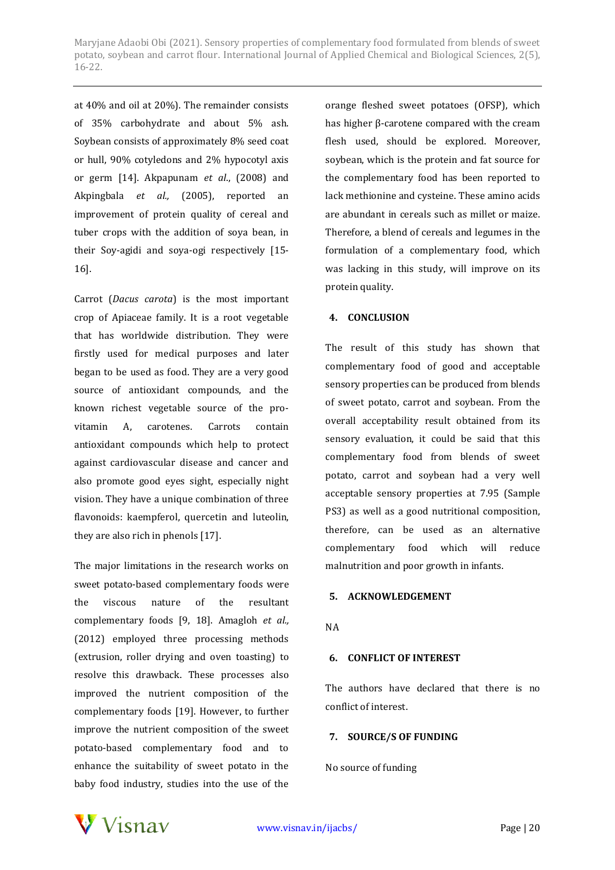at 40% and oil at 20%). The remainder consists of 35% carbohydrate and about 5% ash. Soybean consists of approximately 8% seed coat or hull, 90% cotyledons and 2% hypocotyl axis or germ [14]. Akpapunam *et al*., (2008) and Akpingbala *et al.,* (2005), reported an improvement of protein quality of cereal and tuber crops with the addition of soya bean, in their Soy-agidi and soya-ogi respectively [15- 16].

Carrot (*Dacus carota*) is the most important crop of Apiaceae family. It is a root vegetable that has worldwide distribution. They were firstly used for medical purposes and later began to be used as food. They are a very good source of antioxidant compounds, and the known richest vegetable source of the provitamin A, carotenes. Carrots contain antioxidant compounds which help to protect against cardiovascular disease and cancer and also promote good eyes sight, especially night vision. They have a unique combination of three flavonoids: kaempferol, quercetin and luteolin, they are also rich in phenols [17].

The major limitations in the research works on sweet potato-based complementary foods were the viscous nature of the resultant complementary foods [9, 18]. Amagloh *et al.,* (2012) employed three processing methods (extrusion, roller drying and oven toasting) to resolve this drawback. These processes also improved the nutrient composition of the complementary foods [19]. However, to further improve the nutrient composition of the sweet potato-based complementary food and to enhance the suitability of sweet potato in the baby food industry, studies into the use of the

orange fleshed sweet potatoes (OFSP), which has higher β-carotene compared with the cream flesh used, should be explored. Moreover, soybean, which is the protein and fat source for the complementary food has been reported to lack methionine and cysteine. These amino acids are abundant in cereals such as millet or maize. Therefore, a blend of cereals and legumes in the formulation of a complementary food, which was lacking in this study, will improve on its protein quality.

# **4. CONCLUSION**

The result of this study has shown that complementary food of good and acceptable sensory properties can be produced from blends of sweet potato, carrot and soybean. From the overall acceptability result obtained from its sensory evaluation, it could be said that this complementary food from blends of sweet potato, carrot and soybean had a very well acceptable sensory properties at 7.95 (Sample PS3) as well as a good nutritional composition, therefore, can be used as an alternative complementary food which will reduce malnutrition and poor growth in infants.

#### **5. ACKNOWLEDGEMENT**

NA

#### **6. CONFLICT OF INTEREST**

The authors have declared that there is no conflict of interest.

# **7. SOURCE/S OF FUNDING**

No source of funding

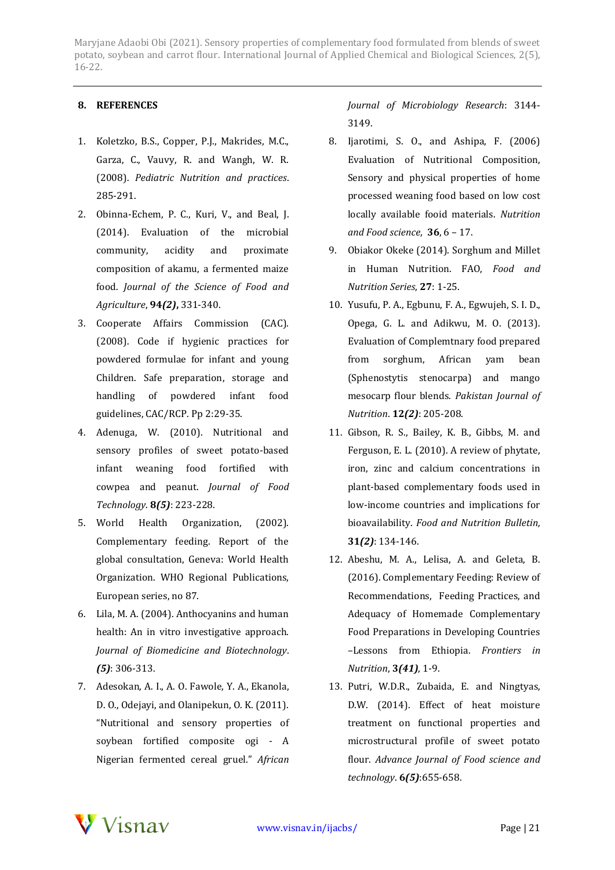# **8. REFERENCES**

- 1. Koletzko, B.S., Copper, P.J., Makrides, M.C., Garza, C., Vauvy, R. and Wangh, W. R. (2008). *Pediatric Nutrition and practices*. 285-291.
- 2. Obinna-Echem, P. C., Kuri, V., and Beal, J. (2014). Evaluation of the microbial community, acidity and proximate composition of akamu, a fermented maize food. *Journal of the Science of Food and Agriculture*, **94***(2)***,** 331-340.
- 3. Cooperate Affairs Commission (CAC). (2008). Code if hygienic practices for powdered formulae for infant and young Children. Safe preparation, storage and handling of powdered infant food guidelines, CAC/RCP. Pp 2:29-35.
- 4. Adenuga, W. (2010). Nutritional and sensory profiles of sweet potato-based infant weaning food fortified with cowpea and peanut. *Journal of Food Technology*. **8***(5)*: 223-228.
- 5. World Health Organization, (2002). Complementary feeding. Report of the global consultation, Geneva: World Health Organization. WHO Regional Publications, European series, no 87.
- 6. Lila, M. A. (2004). Anthocyanins and human health: An in vitro investigative approach. *Journal of Biomedicine and Biotechnology*. *(5)*: 306-313.
- 7. Adesokan, A. I., A. O. Fawole, Y. A., Ekanola, D. O., Odejayi, and Olanipekun, O. K. (2011). "Nutritional and sensory properties of soybean fortified composite ogi - A Nigerian fermented cereal gruel." *African*

*Journal of Microbiology Research*: 3144- 3149.

- 8. Ijarotimi, S. O., and Ashipa, F. (2006) Evaluation of Nutritional Composition, Sensory and physical properties of home processed weaning food based on low cost locally available fooid materials. *Nutrition and Food science*, **36**, 6 – 17.
- 9. Obiakor Okeke (2014). Sorghum and Millet in Human Nutrition. FAO, *Food and Nutrition Series*, **27**: 1-25.
- 10. Yusufu, P. A., Egbunu, F. A., Egwujeh, S. I. D., Opega, G. L. and Adikwu, M. O. (2013). Evaluation of Complemtnary food prepared from sorghum, African yam bean (Sphenostytis stenocarpa) and mango mesocarp flour blends. *Pakistan Journal of Nutrition*. **12***(2)*: 205-208.
- 11. Gibson, R. S., Bailey, K. B., Gibbs, M. and Ferguson, E. L. (2010). A review of phytate, iron, zinc and calcium concentrations in plant-based complementary foods used in low-income countries and implications for bioavailability. *Food and Nutrition Bulletin,* **31***(2)*: 134-146.
- 12. Abeshu, M. A., Lelisa, A. and Geleta, B. (2016). Complementary Feeding: Review of Recommendations, Feeding Practices, and Adequacy of Homemade Complementary Food Preparations in Developing Countries –Lessons from Ethiopia. *Frontiers in Nutrition*, **3***(41)*, 1-9.
- 13. Putri, W.D.R., Zubaida, E. and Ningtyas, D.W. (2014). Effect of heat moisture treatment on functional properties and microstructural profile of sweet potato flour. *Advance Journal of Food science and technology*. **6***(5)*:655-658.